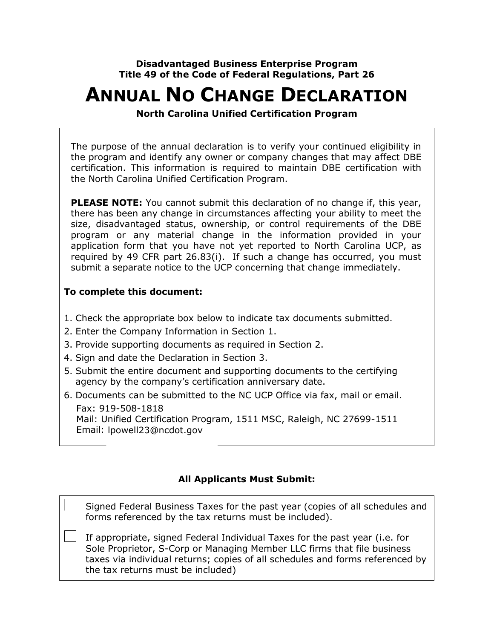**Disadvantaged Business Enterprise Program Title 49 of the Code of Federal Regulations, Part 26**

# **ANNUAL NO CHANGE DECLARATION**

**North Carolina Unified Certification Program**

The purpose of the annual declaration is to verify your continued eligibility in the program and identify any owner or company changes that may affect DBE certification. This information is required to maintain DBE certification with the North Carolina Unified Certification Program.

**PLEASE NOTE:** You cannot submit this declaration of no change if, this year, there has been any change in circumstances affecting your ability to meet the size, disadvantaged status, ownership, or control requirements of the DBE program or any material change in the information provided in your application form that you have not yet reported to North Carolina UCP, as required by 49 CFR part 26.83(i). If such a change has occurred, you must submit a separate notice to the UCP concerning that change immediately.

#### **To complete this document:**

- 1. Check the appropriate box below to indicate tax documents submitted.
- 2. Enter the Company Information in Section 1.
- 3. Provide supporting documents as required in Section 2.
- 4. Sign and date the Declaration in Section 3.
- 5. Submit the entire document and supporting documents to the certifying agency by the company's certification anniversary date.
- 6. Documents can be submitted to the NC UCP Office via fax, mail or email. Fax: 919-508-1818 Mail: Unified Certification Program, 1511 MSC, Raleigh, NC 27699-1511 Email: lpowell23@ncdot.gov

#### **All Applicants Must Submit:**

Signed Federal Business Taxes for the past year (copies of all schedules and forms referenced by the tax returns must be included).

If appropriate, signed Federal Individual Taxes for the past year (i.e. for Sole Proprietor, S-Corp or Managing Member LLC firms that file business taxes via individual returns; copies of all schedules and forms referenced by the tax returns must be included)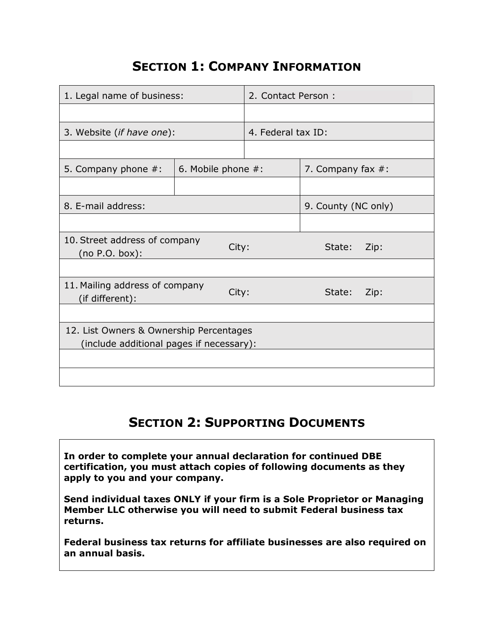### **SECTION 1: COMPANY INFORMATION**

| 1. Legal name of business:                                                          |                       | 2. Contact Person:  |                      |      |
|-------------------------------------------------------------------------------------|-----------------------|---------------------|----------------------|------|
|                                                                                     |                       |                     |                      |      |
| 3. Website (if have one):                                                           |                       | 4. Federal tax ID:  |                      |      |
|                                                                                     |                       |                     |                      |      |
| 5. Company phone $#$ :                                                              | 6. Mobile phone $#$ : |                     | 7. Company fax $#$ : |      |
|                                                                                     |                       |                     |                      |      |
| 8. E-mail address:                                                                  |                       | 9. County (NC only) |                      |      |
|                                                                                     |                       |                     |                      |      |
| 10. Street address of company<br>(no P.O. box):                                     | City:                 | State:              | Zip:                 |      |
|                                                                                     |                       |                     |                      |      |
| 11. Mailing address of company<br>City:<br>(if different):                          |                       |                     | State:               | Zip: |
|                                                                                     |                       |                     |                      |      |
| 12. List Owners & Ownership Percentages<br>(include additional pages if necessary): |                       |                     |                      |      |
|                                                                                     |                       |                     |                      |      |
|                                                                                     |                       |                     |                      |      |

## **SECTION 2: SUPPORTING DOCUMENTS**

**In order to complete your annual declaration for continued DBE certification, you must attach copies of following documents as they apply to you and your company.**

**Send individual taxes ONLY if your firm is a Sole Proprietor or Managing Member LLC otherwise you will need to submit Federal business tax returns.**

**Federal business tax returns for affiliate businesses are also required on an annual basis.**